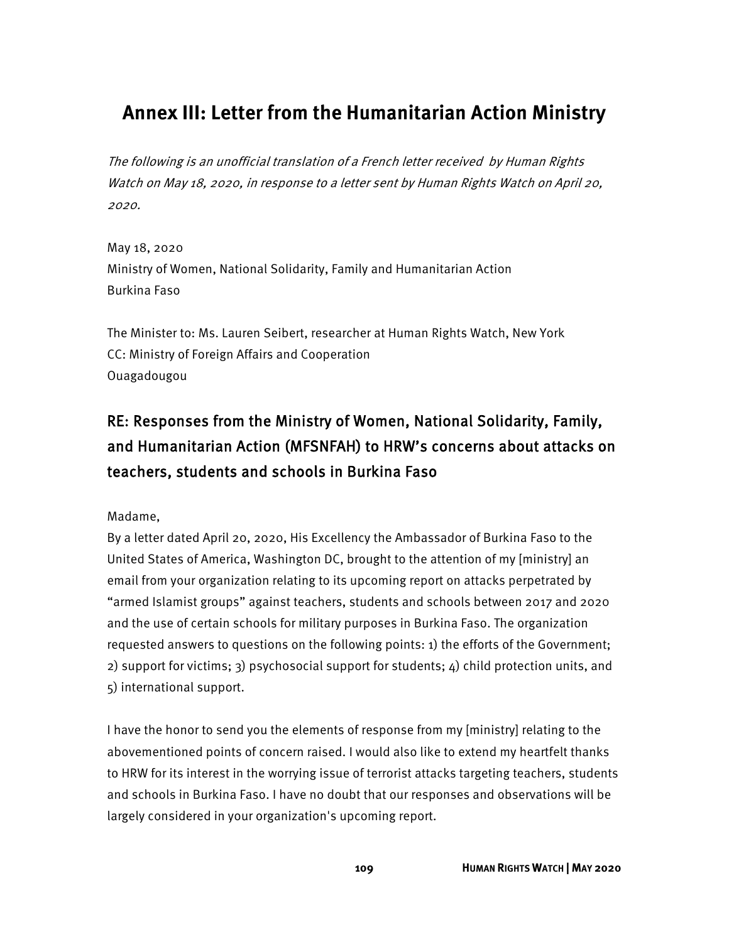# **Annex III: Letter from the Humanitarian Action Ministry**

The following is an unofficial translation of a French letter received by Human Rights Watch on May 18, 2020, in response to a letter sent by Human Rights Watch on April 20, 2020.

May 18, 2020 Ministry of Women, National Solidarity, Family and Humanitarian Action Burkina Faso

The Minister to: Ms. Lauren Seibert, researcher at Human Rights Watch, New York CC: Ministry of Foreign Affairs and Cooperation Ouagadougou

## RE: Responses from the Ministry of Women, National Solidarity, Family, and Humanitarian Action (MFSNFAH) to HRW's concerns about attacks on teachers, students and schools in Burkina Faso

Madame,

By a letter dated April 20, 2020, His Excellency the Ambassador of Burkina Faso to the United States of America, Washington DC, brought to the attention of my [ministry] an email from your organization relating to its upcoming report on attacks perpetrated by "armed Islamist groups" against teachers, students and schools between 2017 and 2020 and the use of certain schools for military purposes in Burkina Faso. The organization requested answers to questions on the following points: 1) the efforts of the Government; 2) support for victims; 3) psychosocial support for students; 4) child protection units, and 5) international support.

I have the honor to send you the elements of response from my [ministry] relating to the abovementioned points of concern raised. I would also like to extend my heartfelt thanks to HRW for its interest in the worrying issue of terrorist attacks targeting teachers, students and schools in Burkina Faso. I have no doubt that our responses and observations will be largely considered in your organization's upcoming report.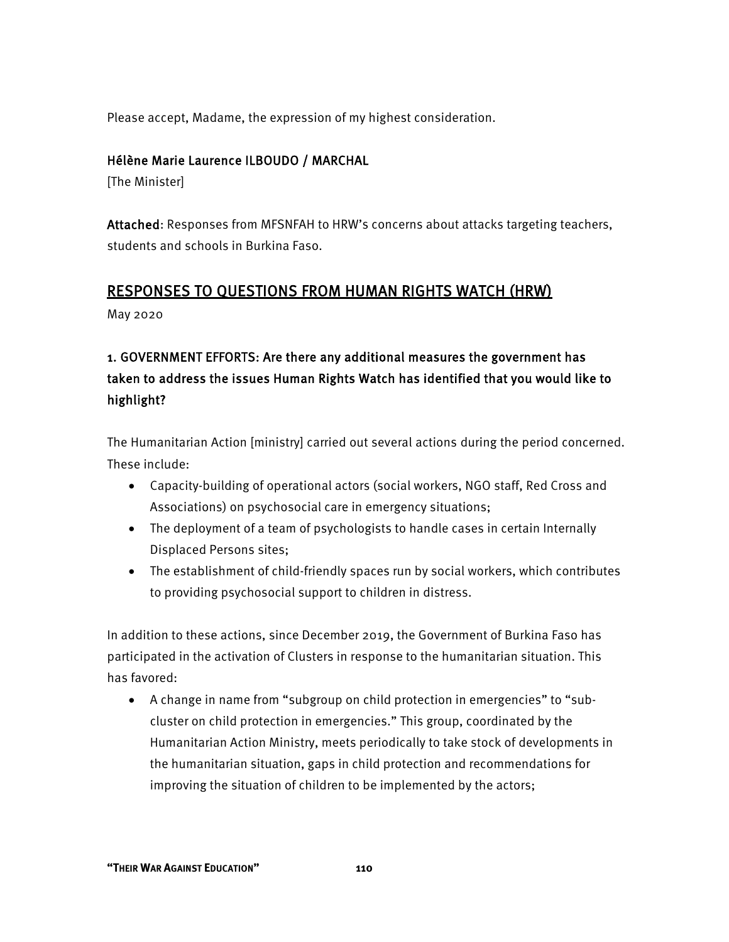Please accept, Madame, the expression of my highest consideration.

#### Hélène Marie Laurence ILBOUDO / MARCHAL

[The Minister]

Attached: Responses from MFSNFAH to HRW's concerns about attacks targeting teachers, students and schools in Burkina Faso.

#### RESPONSES TO QUESTIONS FROM HUMAN RIGHTS WATCH (HRW)

May 2020

### 1. GOVERNMENT EFFORTS: Are there any additional measures the government has taken to address the issues Human Rights Watch has identified that you would like to highlight?

The Humanitarian Action [ministry] carried out several actions during the period concerned. These include:

- Capacity-building of operational actors (social workers, NGO staff, Red Cross and Associations) on psychosocial care in emergency situations;
- The deployment of a team of psychologists to handle cases in certain Internally Displaced Persons sites;
- The establishment of child-friendly spaces run by social workers, which contributes to providing psychosocial support to children in distress.

In addition to these actions, since December 2019, the Government of Burkina Faso has participated in the activation of Clusters in response to the humanitarian situation. This has favored:

• A change in name from "subgroup on child protection in emergencies" to "subcluster on child protection in emergencies." This group, coordinated by the Humanitarian Action Ministry, meets periodically to take stock of developments in the humanitarian situation, gaps in child protection and recommendations for improving the situation of children to be implemented by the actors;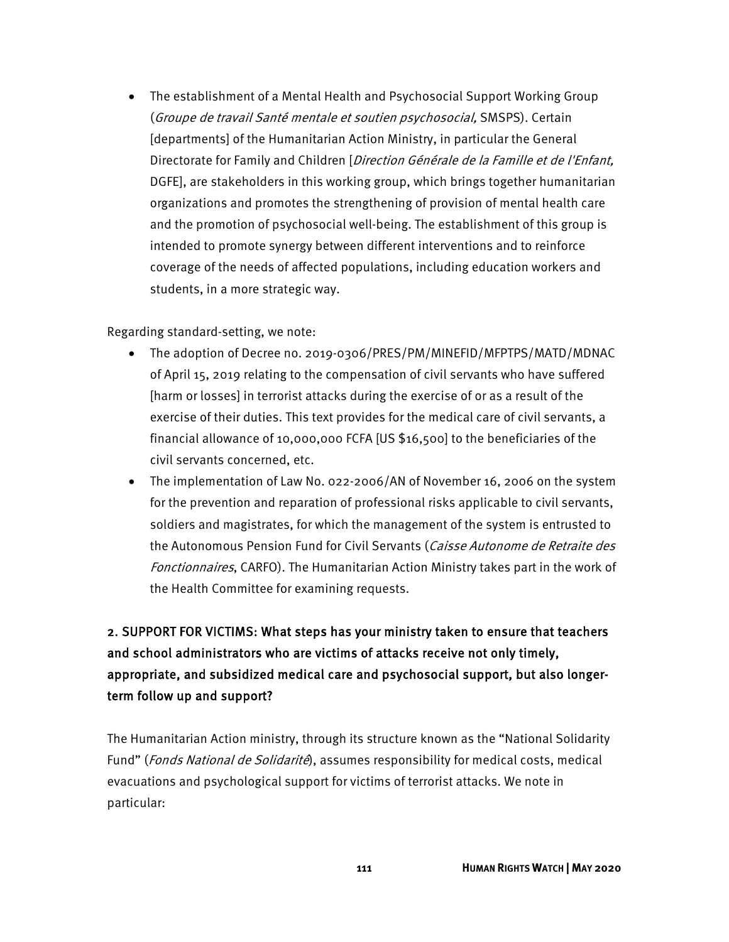• The establishment of a Mental Health and Psychosocial Support Working Group (Groupe de travail Santé mentale et soutien psychosocial, SMSPS). Certain [departments] of the Humanitarian Action Ministry, in particular the General Directorate for Family and Children [Direction Générale de la Famille et de l'Enfant, DGFE], are stakeholders in this working group, which brings together humanitarian organizations and promotes the strengthening of provision of mental health care and the promotion of psychosocial well-being. The establishment of this group is intended to promote synergy between different interventions and to reinforce coverage of the needs of affected populations, including education workers and students, in a more strategic way.

Regarding standard-setting, we note:

- The adoption of Decree no. 2019-0306/PRES/PM/MINEFID/MFPTPS/MATD/MDNAC of April 15, 2019 relating to the compensation of civil servants who have suffered [harm or losses] in terrorist attacks during the exercise of or as a result of the exercise of their duties. This text provides for the medical care of civil servants, a financial allowance of 10,000,000 FCFA [US \$16,500] to the beneficiaries of the civil servants concerned, etc.
- The implementation of Law No. 022-2006/AN of November 16, 2006 on the system for the prevention and reparation of professional risks applicable to civil servants, soldiers and magistrates, for which the management of the system is entrusted to the Autonomous Pension Fund for Civil Servants (*Caisse Autonome de Retraite des* Fonctionnaires, CARFO). The Humanitarian Action Ministry takes part in the work of the Health Committee for examining requests.

### 2. SUPPORT FOR VICTIMS: What steps has your ministry taken to ensure that teachers and school administrators who are victims of attacks receive not only timely, appropriate, and subsidized medical care and psychosocial support, but also longerterm follow up and support?

The Humanitarian Action ministry, through its structure known as the "National Solidarity Fund" (*Fonds National de Solidarité*), assumes responsibility for medical costs, medical evacuations and psychological support for victims of terrorist attacks. We note in particular: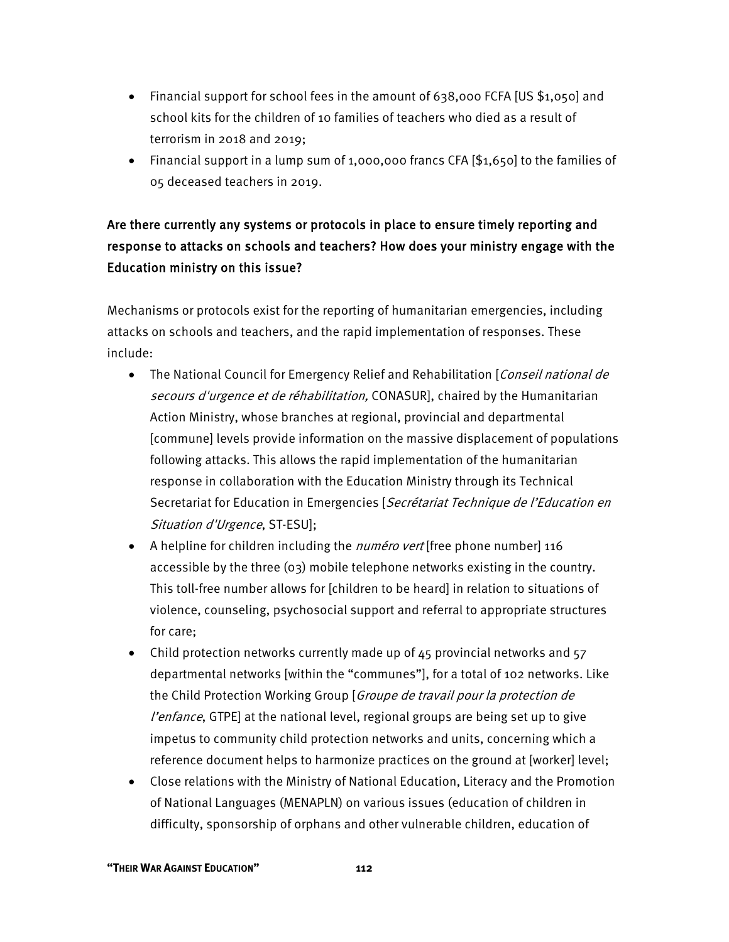- Financial support for school fees in the amount of 638,000 FCFA [US \$1,050] and school kits for the children of 10 families of teachers who died as a result of terrorism in 2018 and 2019;
- Financial support in a lump sum of 1,000,000 francs CFA [\$1,650] to the families of 05 deceased teachers in 2019.

### Are there currently any systems or protocols in place to ensure timely reporting and response to attacks on schools and teachers? How does your ministry engage with the Education ministry on this issue?

Mechanisms or protocols exist for the reporting of humanitarian emergencies, including attacks on schools and teachers, and the rapid implementation of responses. These include:

- The National Council for Emergency Relief and Rehabilitation [Conseil national de secours d'urgence et de réhabilitation, CONASUR], chaired by the Humanitarian Action Ministry, whose branches at regional, provincial and departmental [commune] levels provide information on the massive displacement of populations following attacks. This allows the rapid implementation of the humanitarian response in collaboration with the Education Ministry through its Technical Secretariat for Education in Emergencies [Secrétariat Technique de l'Education en Situation d'Urgence, ST-ESU];
- A helpline for children including the *numéro vert* [free phone number] 116 accessible by the three (03) mobile telephone networks existing in the country. This toll-free number allows for [children to be heard] in relation to situations of violence, counseling, psychosocial support and referral to appropriate structures for care;
- Child protection networks currently made up of 45 provincial networks and 57 departmental networks [within the "communes"], for a total of 102 networks. Like the Child Protection Working Group [Groupe de travail pour la protection de l'enfance, GTPE] at the national level, regional groups are being set up to give impetus to community child protection networks and units, concerning which a reference document helps to harmonize practices on the ground at [worker] level;
- Close relations with the Ministry of National Education, Literacy and the Promotion of National Languages (MENAPLN) on various issues (education of children in difficulty, sponsorship of orphans and other vulnerable children, education of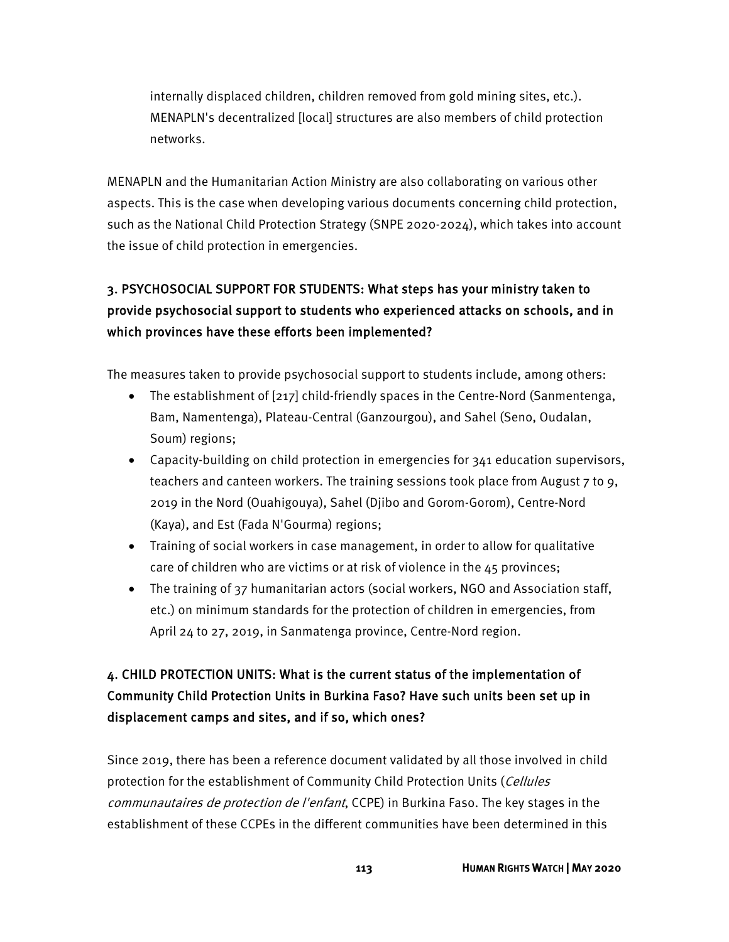internally displaced children, children removed from gold mining sites, etc.). MENAPLN's decentralized [local] structures are also members of child protection networks.

MENAPLN and the Humanitarian Action Ministry are also collaborating on various other aspects. This is the case when developing various documents concerning child protection, such as the National Child Protection Strategy (SNPE 2020-2024), which takes into account the issue of child protection in emergencies.

#### 3. PSYCHOSOCIAL SUPPORT FOR STUDENTS: What steps has your ministry taken to provide psychosocial support to students who experienced attacks on schools, and in which provinces have these efforts been implemented?

The measures taken to provide psychosocial support to students include, among others:

- The establishment of [217] child-friendly spaces in the Centre-Nord (Sanmentenga, Bam, Namentenga), Plateau-Central (Ganzourgou), and Sahel (Seno, Oudalan, Soum) regions;
- Capacity-building on child protection in emergencies for 341 education supervisors, teachers and canteen workers. The training sessions took place from August 7 to 9, 2019 in the Nord (Ouahigouya), Sahel (Djibo and Gorom-Gorom), Centre-Nord (Kaya), and Est (Fada N'Gourma) regions;
- Training of social workers in case management, in order to allow for qualitative care of children who are victims or at risk of violence in the 45 provinces;
- The training of 37 humanitarian actors (social workers, NGO and Association staff, etc.) on minimum standards for the protection of children in emergencies, from April 24 to 27, 2019, in Sanmatenga province, Centre-Nord region.

### 4. CHILD PROTECTION UNITS: What is the current status of the implementation of Community Child Protection Units in Burkina Faso? Have such units been set up in displacement camps and sites, and if so, which ones?

Since 2019, there has been a reference document validated by all those involved in child protection for the establishment of Community Child Protection Units (Cellules communautaires de protection de l'enfant, CCPE) in Burkina Faso. The key stages in the establishment of these CCPEs in the different communities have been determined in this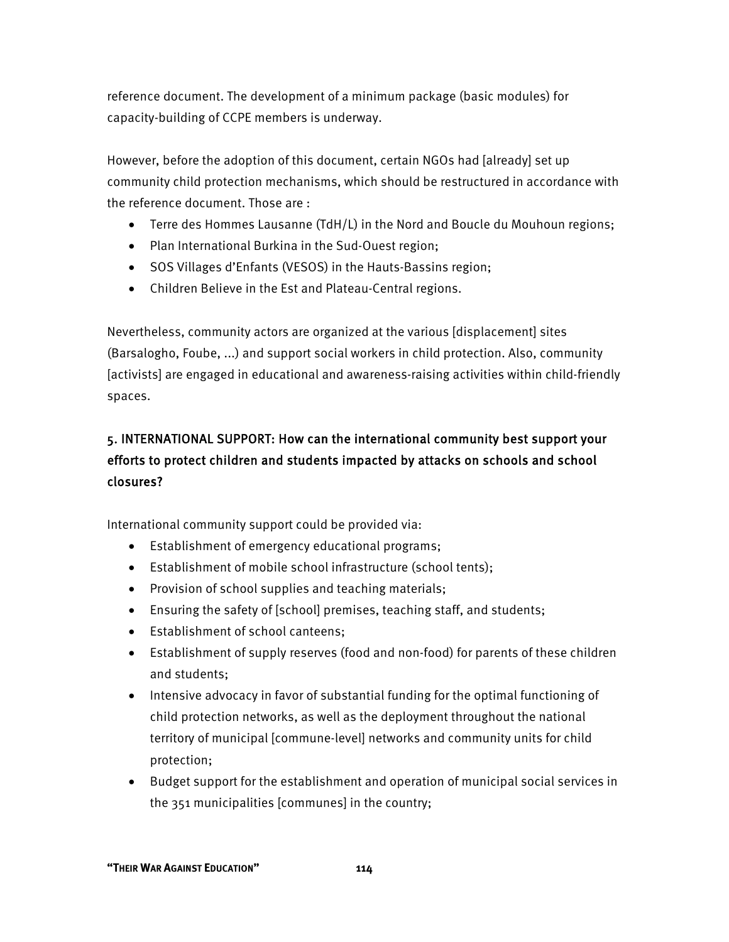reference document. The development of a minimum package (basic modules) for capacity-building of CCPE members is underway.

However, before the adoption of this document, certain NGOs had [already] set up community child protection mechanisms, which should be restructured in accordance with the reference document. Those are :

- Terre des Hommes Lausanne (TdH/L) in the Nord and Boucle du Mouhoun regions;
- Plan International Burkina in the Sud-Ouest region;
- SOS Villages d'Enfants (VESOS) in the Hauts-Bassins region;
- Children Believe in the Est and Plateau-Central regions.

Nevertheless, community actors are organized at the various [displacement] sites (Barsalogho, Foube, ...) and support social workers in child protection. Also, community [activists] are engaged in educational and awareness-raising activities within child-friendly spaces.

### 5. INTERNATIONAL SUPPORT: How can the international community best support your efforts to protect children and students impacted by attacks on schools and school closures?

International community support could be provided via:

- Establishment of emergency educational programs;
- Establishment of mobile school infrastructure (school tents);
- Provision of school supplies and teaching materials;
- Ensuring the safety of [school] premises, teaching staff, and students;
- Establishment of school canteens;
- Establishment of supply reserves (food and non-food) for parents of these children and students;
- Intensive advocacy in favor of substantial funding for the optimal functioning of child protection networks, as well as the deployment throughout the national territory of municipal [commune-level] networks and community units for child protection;
- Budget support for the establishment and operation of municipal social services in the 351 municipalities [communes] in the country;